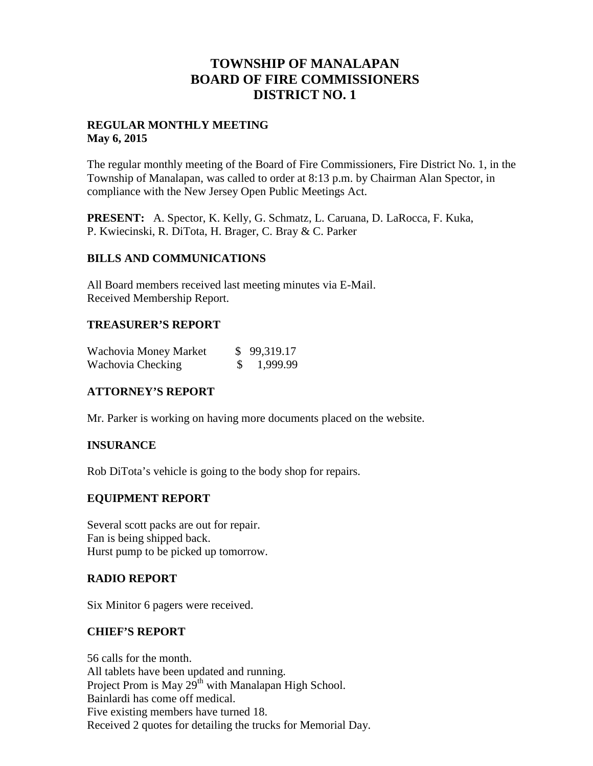## **TOWNSHIP OF MANALAPAN BOARD OF FIRE COMMISSIONERS DISTRICT NO. 1**

#### **REGULAR MONTHLY MEETING May 6, 2015**

The regular monthly meeting of the Board of Fire Commissioners, Fire District No. 1, in the Township of Manalapan, was called to order at 8:13 p.m. by Chairman Alan Spector, in compliance with the New Jersey Open Public Meetings Act.

**PRESENT:** A. Spector, K. Kelly, G. Schmatz, L. Caruana, D. LaRocca, F. Kuka, P. Kwiecinski, R. DiTota, H. Brager, C. Bray & C. Parker

#### **BILLS AND COMMUNICATIONS**

All Board members received last meeting minutes via E-Mail. Received Membership Report.

#### **TREASURER'S REPORT**

| Wachovia Money Market | \$99,319.17 |
|-----------------------|-------------|
| Wachovia Checking     | \$1,999.99  |

## **ATTORNEY'S REPORT**

Mr. Parker is working on having more documents placed on the website.

## **INSURANCE**

Rob DiTota's vehicle is going to the body shop for repairs.

## **EQUIPMENT REPORT**

Several scott packs are out for repair. Fan is being shipped back. Hurst pump to be picked up tomorrow.

#### **RADIO REPORT**

Six Minitor 6 pagers were received.

#### **CHIEF'S REPORT**

56 calls for the month. All tablets have been updated and running. Project Prom is May  $29^{th}$  with Manalapan High School. Bainlardi has come off medical. Five existing members have turned 18. Received 2 quotes for detailing the trucks for Memorial Day.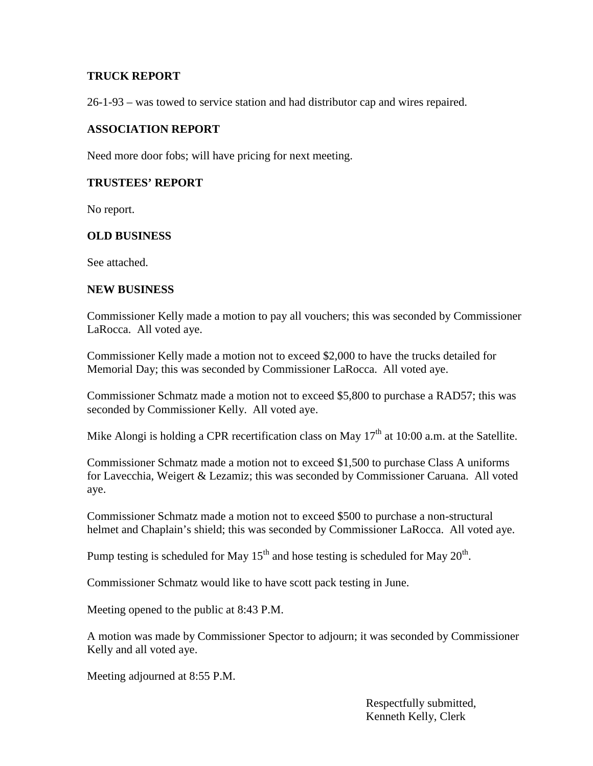#### **TRUCK REPORT**

26-1-93 – was towed to service station and had distributor cap and wires repaired.

#### **ASSOCIATION REPORT**

Need more door fobs; will have pricing for next meeting.

## **TRUSTEES' REPORT**

No report.

#### **OLD BUSINESS**

See attached.

#### **NEW BUSINESS**

Commissioner Kelly made a motion to pay all vouchers; this was seconded by Commissioner LaRocca. All voted aye.

Commissioner Kelly made a motion not to exceed \$2,000 to have the trucks detailed for Memorial Day; this was seconded by Commissioner LaRocca. All voted aye.

Commissioner Schmatz made a motion not to exceed \$5,800 to purchase a RAD57; this was seconded by Commissioner Kelly. All voted aye.

Mike Alongi is holding a CPR recertification class on May  $17<sup>th</sup>$  at 10:00 a.m. at the Satellite.

Commissioner Schmatz made a motion not to exceed \$1,500 to purchase Class A uniforms for Lavecchia, Weigert & Lezamiz; this was seconded by Commissioner Caruana. All voted aye.

Commissioner Schmatz made a motion not to exceed \$500 to purchase a non-structural helmet and Chaplain's shield; this was seconded by Commissioner LaRocca. All voted aye.

Pump testing is scheduled for May 15<sup>th</sup> and hose testing is scheduled for May 20<sup>th</sup>.

Commissioner Schmatz would like to have scott pack testing in June.

Meeting opened to the public at 8:43 P.M.

A motion was made by Commissioner Spector to adjourn; it was seconded by Commissioner Kelly and all voted aye.

Meeting adjourned at 8:55 P.M.

Respectfully submitted, Kenneth Kelly, Clerk